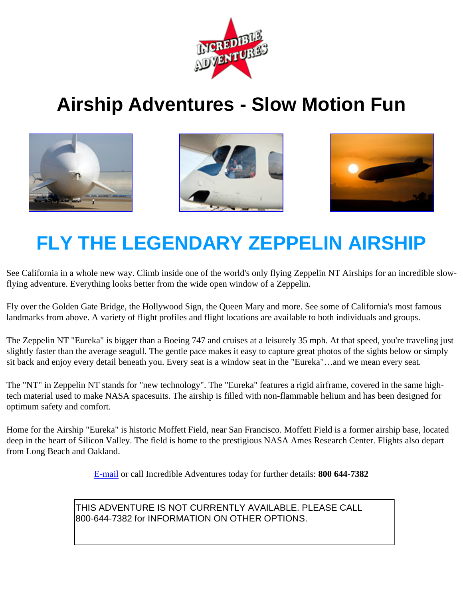

## **Airship Adventures - Slow Motion Fun**







## **FLY THE LEGENDARY ZEPPELIN AIRSHIP**

See California in a whole new way. Climb inside one of the world's only flying Zeppelin NT Airships for an incredible slowflying adventure. Everything looks better from the wide open window of a Zeppelin.

Fly over the Golden Gate Bridge, the Hollywood Sign, the Queen Mary and more. See some of California's most famous landmarks from above. A variety of flight profiles and flight locations are available to both individuals and groups.

The Zeppelin NT "Eureka" is bigger than a Boeing 747 and cruises at a leisurely 35 mph. At that speed, you're traveling just slightly faster than the average seagull. The gentle pace makes it easy to capture great photos of the sights below or simply sit back and enjoy every detail beneath you. Every seat is a window seat in the "Eureka"…and we mean every seat.

The "NT" in Zeppelin NT stands for "new technology". The "Eureka" features a rigid airframe, covered in the same hightech material used to make NASA spacesuits. The airship is filled with non-flammable helium and has been designed for optimum safety and comfort.

Home for the Airship "Eureka" is historic Moffett Field, near San Francisco. Moffett Field is a former airship base, located deep in the heart of Silicon Valley. The field is home to the prestigious NASA Ames Research Center. Flights also depart from Long Beach and Oakland.

[E-mail](mailto:info@incredible-adventures.com?Subject=Zeppelin_Airship_Info_Request) or call Incredible Adventures today for further details: **800 644-7382**

THIS ADVENTURE IS NOT CURRENTLY AVAILABLE. PLEASE CALL 800-644-7382 for INFORMATION ON OTHER OPTIONS.